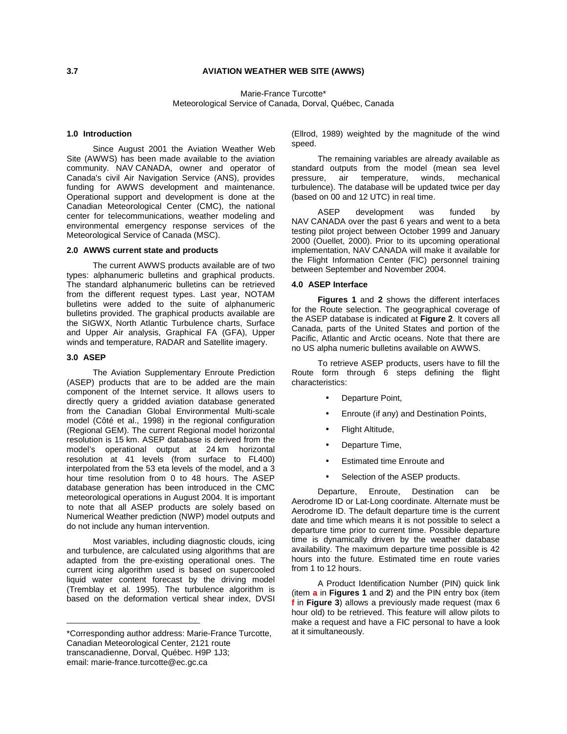## **3.7 AVIATION WEATHER WEB SITE (AWWS)**

Marie-France Turcotte\* Meteorological Service of Canada, Dorval, Québec, Canada

# **1.0 Introduction 1**

Since August 2001 the Aviation Weather Web Site (AWWS) has been made available to the aviation community. NAV CANADA, owner and operator of Canada's civil Air Navigation Service (ANS), provides funding for AWWS development and maintenance. Operational support and development is done at the Canadian Meteorological Center (CMC), the national center for telecommunications, weather modeling and environmental emergency response services of the Meteorological Service of Canada (MSC).

## **2.0 AWWS current state and products**

The current AWWS products available are of two types: alphanumeric bulletins and graphical products. The standard alphanumeric bulletins can be retrieved from the different request types. Last year, NOTAM bulletins were added to the suite of alphanumeric bulletins provided. The graphical products available are the SIGWX, North Atlantic Turbulence charts, Surface and Upper Air analysis, Graphical FA (GFA), Upper winds and temperature, RADAR and Satellite imagery.

### **3.0 ASEP**

The Aviation Supplementary Enroute Prediction (ASEP) products that are to be added are the main component of the Internet service. It allows users to directly query a gridded aviation database generated from the Canadian Global Environmental Multi-scale model (Côté et al., 1998) in the regional configuration (Regional GEM). The current Regional model horizontal resolution is 15 km. ASEP database is derived from the model's operational output at 24 km horizontal resolution at 41 levels (from surface to FL400) interpolated from the 53 eta levels of the model, and a 3 hour time resolution from 0 to 48 hours. The ASEP database generation has been introduced in the CMC meteorological operations in August 2004. It is important to note that all ASEP products are solely based on Numerical Weather prediction (NWP) model outputs and do not include any human intervention.

Most variables, including diagnostic clouds, icing and turbulence, are calculated using algorithms that are adapted from the pre-existing operational ones. The current icing algorithm used is based on supercooled liquid water content forecast by the driving model (Tremblay et al. 1995). The turbulence algorithm is based on the deformation vertical shear index, DVSI

(Ellrod, 1989) weighted by the magnitude of the wind speed.

The remaining variables are already available as standard outputs from the model (mean sea level pressure, air temperature, winds, mechanical turbulence). The database will be updated twice per day (based on 00 and 12 UTC) in real time.

ASEP development was funded by NAV CANADA over the past 6 years and went to a beta testing pilot project between October 1999 and January 2000 (Ouellet, 2000). Prior to its upcoming operational implementation, NAV CANADA will make it available for the Flight Information Center (FIC) personnel training between September and November 2004.

## **4.0 ASEP Interface**

**Figures 1** and **2** shows the different interfaces for the Route selection. The geographical coverage of the ASEP database is indicated at **Figure 2**. It covers all Canada, parts of the United States and portion of the Pacific, Atlantic and Arctic oceans. Note that there are no US alpha numeric bulletins available on AWWS.

To retrieve ASEP products, users have to fill the Route form through 6 steps defining the flight characteristics:

- Departure Point,
- Enroute (if any) and Destination Points,
- Flight Altitude,
- Departure Time,
- Estimated time Enroute and
- Selection of the ASEP products.

Departure, Enroute, Destination can be Aerodrome ID or Lat-Long coordinate. Alternate must be Aerodrome ID. The default departure time is the current date and time which means it is not possible to select a departure time prior to current time. Possible departure time is dynamically driven by the weather database availability. The maximum departure time possible is 42 hours into the future. Estimated time en route varies from 1 to 12 hours.

A Product Identification Number (PIN) quick link (item **a** in **Figures 1** and **2**) and the PIN entry box (item **f** in **Figure 3**) allows a previously made request (max 6 hour old) to be retrieved. This feature will allow pilots to make a request and have a FIC personal to have a look at it simultaneously.

<sup>\*</sup>Corresponding author address: Marie-France Turcotte, Canadian Meteorological Center, 2121 route transcanadienne, Dorval, Québec. H9P 1J3; email: marie-france.turcotte@ec.gc.ca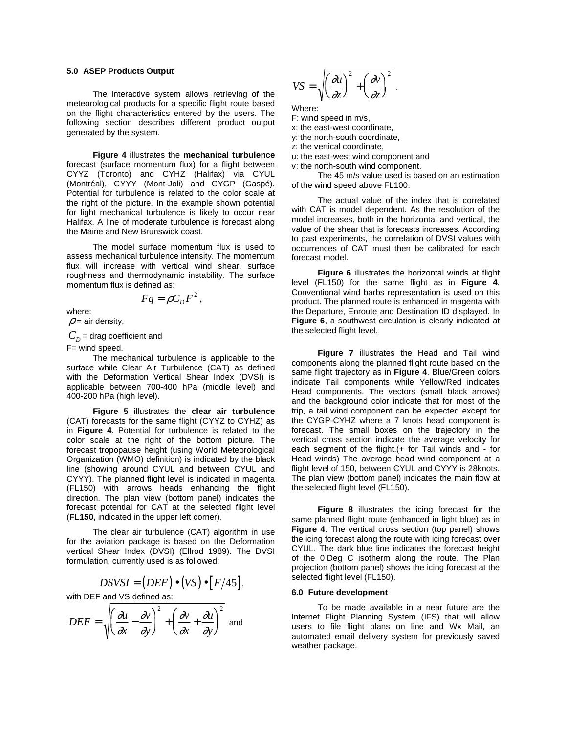## **5.0 ASEP Products Output**

The interactive system allows retrieving of the meteorological products for a specific flight route based on the flight characteristics entered by the users. The following section describes different product output generated by the system.

**Figure 4** illustrates the **mechanical turbulence** forecast (surface momentum flux) for a flight between CYYZ (Toronto) and CYHZ (Halifax) via CYUL (Montréal), CYYY (Mont-Joli) and CYGP (Gaspé). Potential for turbulence is related to the color scale at the right of the picture. In the example shown potential for light mechanical turbulence is likely to occur near Halifax. A line of moderate turbulence is forecast along the Maine and New Brunswick coast.

The model surface momentum flux is used to assess mechanical turbulence intensity. The momentum flux will increase with vertical wind shear, surface roughness and thermodynamic instability. The surface momentum flux is defined as:

$$
Fq = \rho C_D F^2,
$$

where:

 $\rho$  = air density,

 $C_D^{}$  = drag coefficient and

F= wind speed.

The mechanical turbulence is applicable to the surface while Clear Air Turbulence (CAT) as defined with the Deformation Vertical Shear Index (DVSI) is applicable between 700-400 hPa (middle level) and 400-200 hPa (high level).

**Figure 5** illustrates the **clear air turbulence** (CAT) forecasts for the same flight (CYYZ to CYHZ) as in **Figure 4**. Potential for turbulence is related to the color scale at the right of the bottom picture. The forecast tropopause height (using World Meteorological Organization (WMO) definition) is indicated by the black line (showing around CYUL and between CYUL and CYYY). The planned flight level is indicated in magenta (FL150) with arrows heads enhancing the flight direction. The plan view (bottom panel) indicates the forecast potential for CAT at the selected flight level (**FL150**, indicated in the upper left corner).

The clear air turbulence (CAT) algorithm in use for the aviation package is based on the Deformation vertical Shear Index (DVSI) (Ellrod 1989). The DVSI formulation, currently used is as followed:

$$
DSVSI = (DEF) \bullet (VS) \bullet [F/45],
$$

with DEF and VS defined as:

$$
DEF = \sqrt{\left(\frac{\partial u}{\partial x} - \frac{\partial v}{\partial y}\right)^2 + \left(\frac{\partial v}{\partial x} + \frac{\partial u}{\partial y}\right)^2}
$$
 and

$$
VS = \sqrt{\left(\frac{\partial u}{\partial z}\right)^2 + \left(\frac{\partial v}{\partial z}\right)^2}
$$

Where:

- F: wind speed in m/s,
- x: the east-west coordinate,
- y: the north-south coordinate,
- z: the vertical coordinate,
- u: the east-west wind component and
- v: the north-south wind component.

The 45 m/s value used is based on an estimation of the wind speed above FL100.

.

The actual value of the index that is correlated with CAT is model dependent. As the resolution of the model increases, both in the horizontal and vertical, the value of the shear that is forecasts increases. According to past experiments, the correlation of DVSI values with occurrences of CAT must then be calibrated for each forecast model.

**Figure 6** illustrates the horizontal winds at flight level (FL150) for the same flight as in **Figure 4**. Conventional wind barbs representation is used on this product. The planned route is enhanced in magenta with the Departure, Enroute and Destination ID displayed. In **Figure 6**, a southwest circulation is clearly indicated at the selected flight level.

**Figure 7** illustrates the Head and Tail wind components along the planned flight route based on the same flight trajectory as in **Figure 4**. Blue/Green colors indicate Tail components while Yellow/Red indicates Head components. The vectors (small black arrows) and the background color indicate that for most of the trip, a tail wind component can be expected except for the CYGP-CYHZ where a 7 knots head component is forecast. The small boxes on the trajectory in the vertical cross section indicate the average velocity for each segment of the flight.(+ for Tail winds and - for Head winds) The average head wind component at a flight level of 150, between CYUL and CYYY is 28knots. The plan view (bottom panel) indicates the main flow at the selected flight level (FL150).

**Figure 8** illustrates the icing forecast for the same planned flight route (enhanced in light blue) as in **Figure 4**. The vertical cross section (top panel) shows the icing forecast along the route with icing forecast over CYUL. The dark blue line indicates the forecast height of the 0 Deg C isotherm along the route. The Plan projection (bottom panel) shows the icing forecast at the selected flight level (FL150).

#### **6.0 Future development**

To be made available in a near future are the Internet Flight Planning System (IFS) that will allow users to file flight plans on line and Wx Mail, an automated email delivery system for previously saved weather package.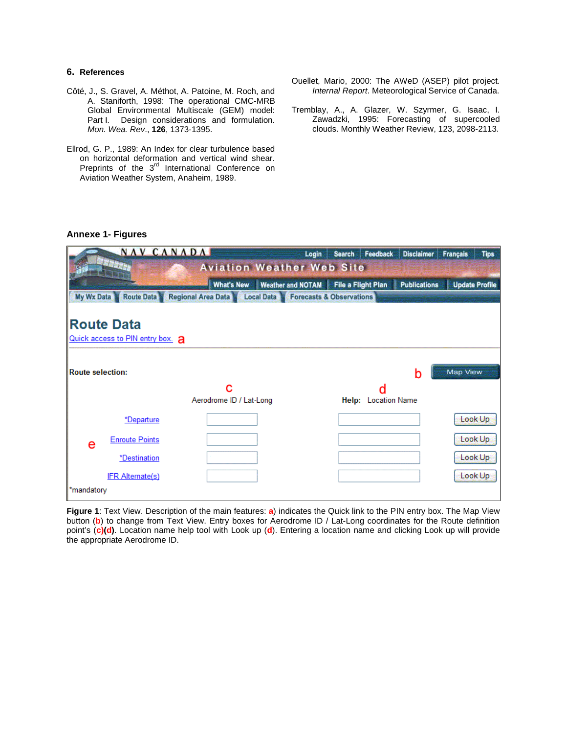# **6. References**

- Côté, J., S. Gravel, A. Méthot, A. Patoine, M. Roch, and A. Staniforth, 1998: The operational CMC-MRB Global Environmental Multiscale (GEM) model: Part I. Design considerations and formulation. Mon. Wea. Rev., **126**, 1373-1395.
- Ellrod, G. P., 1989: An Index for clear turbulence based on horizontal deformation and vertical wind shear. Preprints of the 3<sup>rd</sup> International Conference on Aviation Weather System, Anaheim, 1989.
- Ouellet, Mario, 2000: The AWeD (ASEP) pilot project. Internal Report. Meteorological Service of Canada.
- Tremblay, A., A. Glazer, W. Szyrmer, G. Isaac, I. Zawadzki, 1995: Forecasting of supercooled clouds. Monthly Weather Review, 123, 2098-2113.

# **Annexe 1- Figures**

|                                  | NAV CANADA                                            |                                 | Login                               | <b>Search</b>             | Feedback                 | <b>Disclaimer</b>   | <b>Français</b> | <b>Tips</b>           |  |
|----------------------------------|-------------------------------------------------------|---------------------------------|-------------------------------------|---------------------------|--------------------------|---------------------|-----------------|-----------------------|--|
| <b>Aviation Weather Web Site</b> |                                                       |                                 |                                     |                           |                          |                     |                 |                       |  |
|                                  |                                                       | <b>What's New</b>               | <b>Weather and NOTAM</b>            | <b>File a Flight Plan</b> |                          | <b>Publications</b> |                 | <b>Update Profile</b> |  |
| My Wx Data                       | <b>Route Data</b>                                     | Regional Area Data & Local Data | <b>Forecasts &amp; Observations</b> |                           |                          |                     |                 |                       |  |
|                                  | <b>Route Data</b><br>Quick access to PIN entry box. a |                                 |                                     |                           |                          |                     |                 |                       |  |
| <b>Route selection:</b>          |                                                       |                                 |                                     |                           |                          | h                   | <b>Map View</b> |                       |  |
|                                  |                                                       | с<br>Aerodrome ID / Lat-Long    |                                     |                           | d<br>Help: Location Name |                     |                 |                       |  |
|                                  | *Departure                                            |                                 |                                     |                           |                          |                     |                 | Look Up               |  |
| e                                | <b>Enroute Points</b>                                 |                                 |                                     |                           |                          |                     |                 | Look Up               |  |
|                                  | *Destination                                          |                                 |                                     |                           |                          |                     |                 | Look Up               |  |
|                                  | <b>IFR Alternate(s)</b>                               |                                 |                                     |                           |                          |                     |                 | Look Up               |  |
| *mandatory                       |                                                       |                                 |                                     |                           |                          |                     |                 |                       |  |

**Figure 1**: Text View. Description of the main features: **a**) indicates the Quick link to the PIN entry box. The Map View button (**b**) to change from Text View. Entry boxes for Aerodrome ID / Lat-Long coordinates for the Route definition point's (**c)(d)**. Location name help tool with Look up (**d**). Entering a location name and clicking Look up will provide the appropriate Aerodrome ID.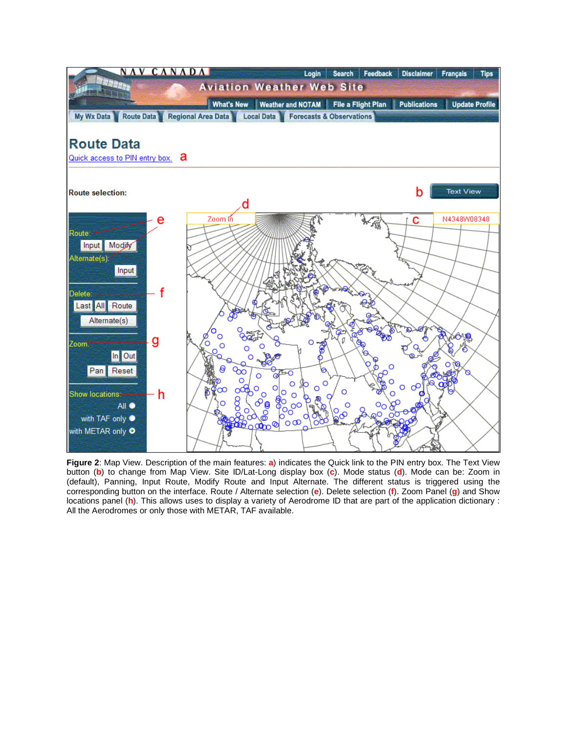

**Figure 2**: Map View. Description of the main features: **a**) indicates the Quick link to the PIN entry box. The Text View button (**b**) to change from Map View. Site ID/Lat-Long display box (**c**). Mode status (**d**). Mode can be: Zoom in (default), Panning, Input Route, Modify Route and Input Alternate. The different status is triggered using the corresponding button on the interface. Route / Alternate selection (**e**). Delete selection (**f**). Zoom Panel (**g**) and Show locations panel (**h**). This allows uses to display a variety of Aerodrome ID that are part of the application dictionary : All the Aerodromes or only those with METAR, TAF available.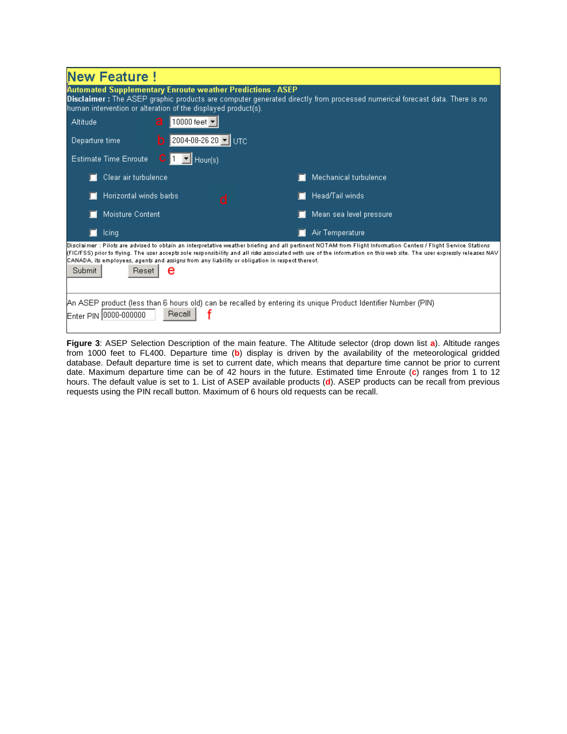| <b>New Feature!</b>                                                                                                                                                                                                                                                                                                                                                                                                                                                |                         |  |  |  |  |  |  |  |
|--------------------------------------------------------------------------------------------------------------------------------------------------------------------------------------------------------------------------------------------------------------------------------------------------------------------------------------------------------------------------------------------------------------------------------------------------------------------|-------------------------|--|--|--|--|--|--|--|
| <b>Automated Supplementary Enroute weather Predictions - ASEP</b><br>Disclaimer: The ASEP graphic products are computer generated directly from processed numerical forecast data. There is no<br>human intervention or alteration of the displayed product(s).                                                                                                                                                                                                    |                         |  |  |  |  |  |  |  |
| a<br>$ 10000$ feet $ \blacktriangledown $<br>Altitude                                                                                                                                                                                                                                                                                                                                                                                                              |                         |  |  |  |  |  |  |  |
| 2004-08-26 20 V UTC<br>Departure time<br>b.                                                                                                                                                                                                                                                                                                                                                                                                                        |                         |  |  |  |  |  |  |  |
| $\blacksquare$ Hour(s)<br><b>Estimate Time Enroute</b>                                                                                                                                                                                                                                                                                                                                                                                                             |                         |  |  |  |  |  |  |  |
| Clear air turbulence                                                                                                                                                                                                                                                                                                                                                                                                                                               | Mechanical turbulence   |  |  |  |  |  |  |  |
| Horizontal winds barbs<br>n                                                                                                                                                                                                                                                                                                                                                                                                                                        | Head/Tail winds         |  |  |  |  |  |  |  |
| Moisture Content                                                                                                                                                                                                                                                                                                                                                                                                                                                   | Mean sea level pressure |  |  |  |  |  |  |  |
| leing                                                                                                                                                                                                                                                                                                                                                                                                                                                              | Air Temperature         |  |  |  |  |  |  |  |
| Disclaimer : Pilots are advised to obtain an interpretative weather briefing and all pertinent NOTAM from Flight Information Centers / Flight Service Stations<br>(FIC/FSS) prior to flying. The user accepts sole responsibility and all risks associated with use of the information on this web site. The user expressly releases NAV<br>CANADA, its employees, agents and assigns from any liability or obligation in respect thereof.<br>Submit<br>Reset<br>е |                         |  |  |  |  |  |  |  |
| (PAN ASEP product (less than 6 hours old) can be recalled by entering its unique Product Identifier Number (PIN<br>Recall<br>Enter PIN 0000-000000                                                                                                                                                                                                                                                                                                                 |                         |  |  |  |  |  |  |  |

**Figure 3**: ASEP Selection Description of the main feature. The Altitude selector (drop down list **a**). Altitude ranges from 1000 feet to FL400. Departure time (**b**) display is driven by the availability of the meteorological gridded database. Default departure time is set to current date, which means that departure time cannot be prior to current date. Maximum departure time can be of 42 hours in the future. Estimated time Enroute (**c**) ranges from 1 to 12 hours. The default value is set to 1. List of ASEP available products (**d**). ASEP products can be recall from previous requests using the PIN recall button. Maximum of 6 hours old requests can be recall.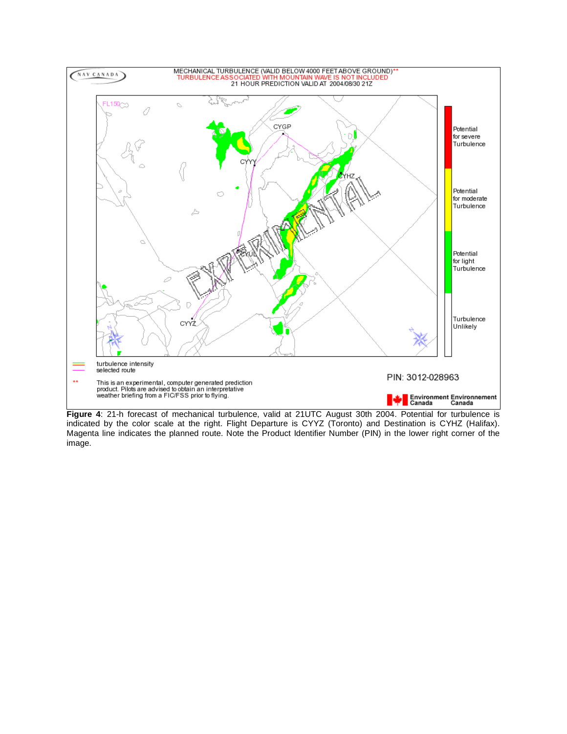

**Figure 4**: 21-h forecast of mechanical turbulence, valid at 21UTC August 30th 2004. Potential for turbulence is indicated by the color scale at the right. Flight Departure is CYYZ (Toronto) and Destination is CYHZ (Halifax). Magenta line indicates the planned route. Note the Product Identifier Number (PIN) in the lower right corner of the image.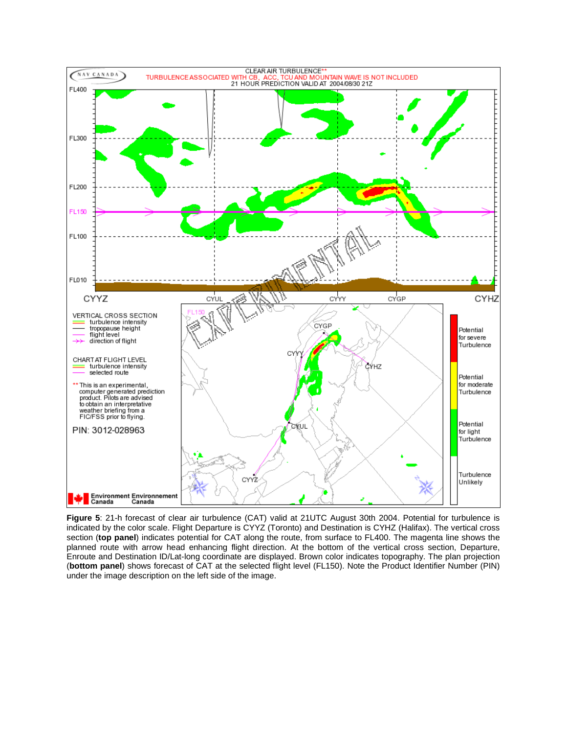

**Figure 5**: 21-h forecast of clear air turbulence (CAT) valid at 21UTC August 30th 2004. Potential for turbulence is indicated by the color scale. Flight Departure is CYYZ (Toronto) and Destination is CYHZ (Halifax). The vertical cross section (**top panel**) indicates potential for CAT along the route, from surface to FL400. The magenta line shows the planned route with arrow head enhancing flight direction. At the bottom of the vertical cross section, Departure, Enroute and Destination ID/Lat-long coordinate are displayed. Brown color indicates topography. The plan projection (**bottom panel**) shows forecast of CAT at the selected flight level (FL150). Note the Product Identifier Number (PIN) under the image description on the left side of the image.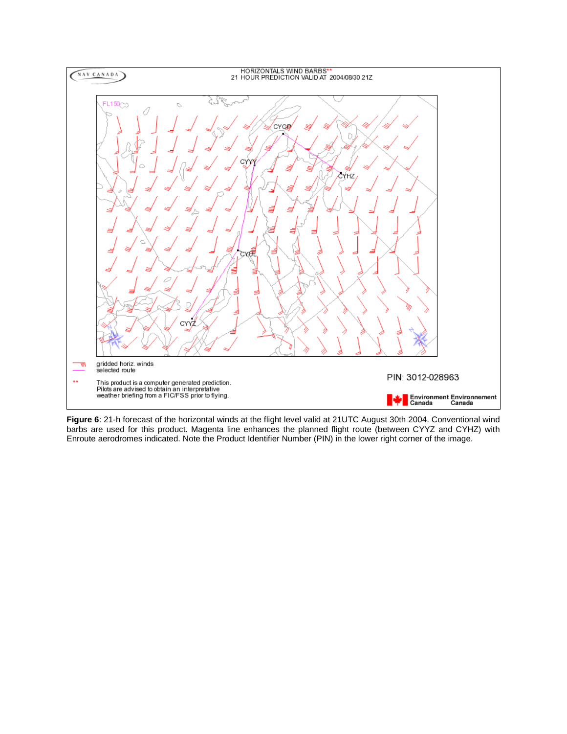

**Figure 6**: 21-h forecast of the horizontal winds at the flight level valid at 21UTC August 30th 2004. Conventional wind barbs are used for this product. Magenta line enhances the planned flight route (between CYYZ and CYHZ) with Enroute aerodromes indicated. Note the Product Identifier Number (PIN) in the lower right corner of the image.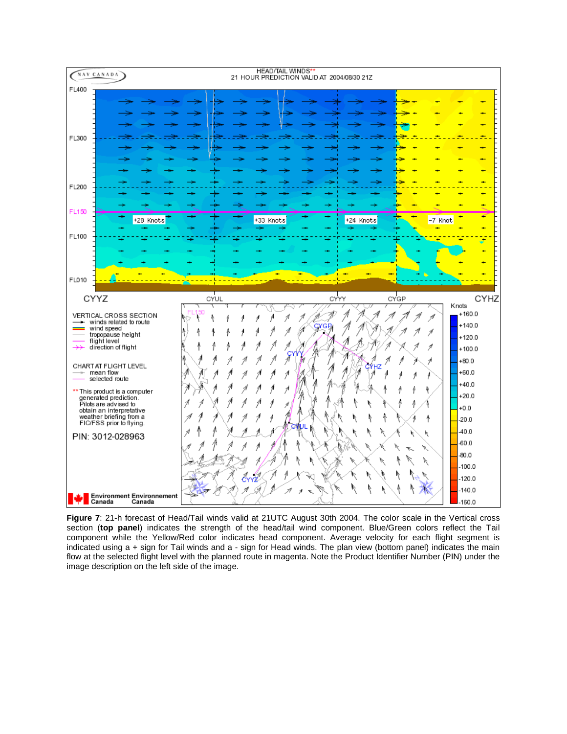

**Figure 7**: 21-h forecast of Head/Tail winds valid at 21UTC August 30th 2004. The color scale in the Vertical cross section (**top panel**) indicates the strength of the head/tail wind component. Blue/Green colors reflect the Tail component while the Yellow/Red color indicates head component. Average velocity for each flight segment is indicated using a + sign for Tail winds and a - sign for Head winds. The plan view (bottom panel) indicates the main flow at the selected flight level with the planned route in magenta. Note the Product Identifier Number (PIN) under the image description on the left side of the image.